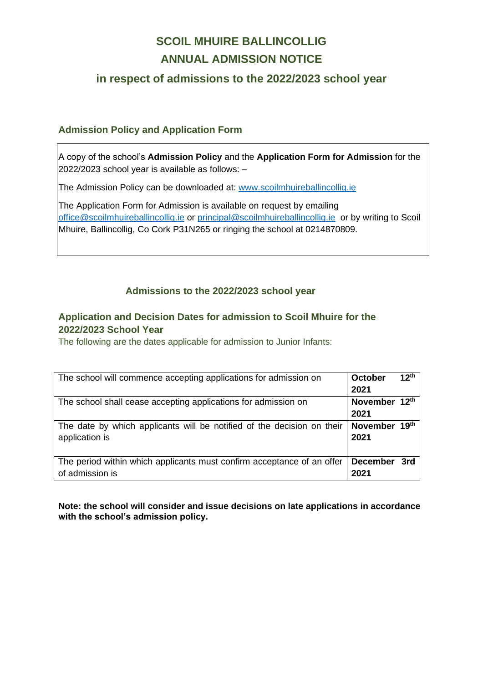# **SCOIL MHUIRE BALLINCOLLIG ANNUAL ADMISSION NOTICE**

## **in respect of admissions to the 2022/2023 school year**

### **Admission Policy and Application Form**

A copy of the school's **Admission Policy** and the **Application Form for Admission** for the 2022/2023 school year is available as follows: –

The Admission Policy can be downloaded at: [www.scoilmhuireballincollig.ie](http://www.scoilmhuireballincollig.ie/)

The Application Form for Admission is available on request by emailing [office@scoilmhuireballincollig.ie](mailto:office@scoilmhuireballincollig.ie) or [principal@scoilmhuireballincollig.ie](mailto:principal@scoilmhuireballincollig.ie) or by writing to Scoil Mhuire, Ballincollig, Co Cork P31N265 or ringing the school at 0214870809.

#### **Admissions to the 2022/2023 school year**

## **Application and Decision Dates for admission to Scoil Mhuire for the 2022/2023 School Year**

The following are the dates applicable for admission to Junior Infants:

| The school will commence accepting applications for admission on                          | <b>October</b><br>2021  | 12 <sup>th</sup> |
|-------------------------------------------------------------------------------------------|-------------------------|------------------|
| The school shall cease accepting applications for admission on                            | November 12th<br>2021   |                  |
| The date by which applicants will be notified of the decision on their<br>application is  | November 19th<br>2021   |                  |
| The period within which applicants must confirm acceptance of an offer<br>of admission is | <b>December</b><br>2021 | 3rd              |

**Note: the school will consider and issue decisions on late applications in accordance with the school's admission policy.**